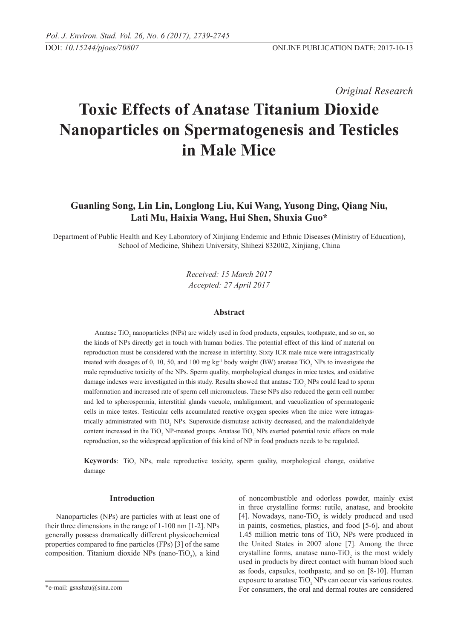*Original Research* 

# **Toxic Effects of Anatase Titanium Dioxide Nanoparticles on Spermatogenesis and Testicles in Male Mice**

## **Guanling Song, Lin Lin, Longlong Liu, Kui Wang, Yusong Ding, Qiang Niu, Lati Mu, Haixia Wang, Hui Shen, Shuxia Guo\***

Department of Public Health and Key Laboratory of Xinjiang Endemic and Ethnic Diseases (Ministry of Education), School of Medicine, Shihezi University, Shihezi 832002, Xinjiang, China

> *Received: 15 March 2017 Accepted: 27 April 2017*

### **Abstract**

Anatase  $TiO<sub>2</sub>$  nanoparticles (NPs) are widely used in food products, capsules, toothpaste, and so on, so the kinds of NPs directly get in touch with human bodies. The potential effect of this kind of material on reproduction must be considered with the increase in infertility. Sixty ICR male mice were intragastrically treated with dosages of 0, 10, 50, and 100 mg  $kg<sup>-1</sup>$  body weight (BW) anatase TiO<sub>2</sub> NPs to investigate the male reproductive toxicity of the NPs. Sperm quality, morphological changes in mice testes, and oxidative damage indexes were investigated in this study. Results showed that anatase  $TiO<sub>2</sub>$  NPs could lead to sperm malformation and increased rate of sperm cell micronucleus. These NPs also reduced the germ cell number and led to spherospermia, interstitial glands vacuole, malalignment, and vacuolization of spermatogenic cells in mice testes. Testicular cells accumulated reactive oxygen species when the mice were intragastrically administrated with  $TiO<sub>2</sub>$  NPs. Superoxide dismutase activity decreased, and the malondialdehyde content increased in the  $TiO<sub>2</sub>$  NP-treated groups. Anatase  $TiO<sub>2</sub>$  NPs exerted potential toxic effects on male reproduction, so the widespread application of this kind of NP in food products needs to be regulated.

**Keywords**: TiO<sub>2</sub> NPs, male reproductive toxicity, sperm quality, morphological change, oxidative damage

## **Introduction**

Nanoparticles (NPs) are particles with at least one of their three dimensions in the range of 1-100 nm [1-2]. NPs generally possess dramatically different physicochemical properties compared to fine particles (FPs) [3] of the same composition. Titanium dioxide NPs (nano-TiO<sub>2</sub>), a kind of noncombustible and odorless powder, mainly exist in three crystalline forms: rutile, anatase, and brookite [4]. Nowadays, nano-TiO<sub>2</sub> is widely produced and used in paints, cosmetics, plastics, and food [5-6], and about 1.45 million metric tons of  $TiO<sub>2</sub>$  NPs were produced in the United States in 2007 alone [7]. Among the three crystalline forms, anatase nano-TiO<sub>2</sub> is the most widely used in products by direct contact with human blood such as foods, capsules, toothpaste, and so on [8-10]. Human exposure to anatase  $TiO<sub>2</sub>$  NPs can occur via various routes. For consumers, the oral and dermal routes are considered

<sup>\*</sup>e-mail: gsxshzu@sina.com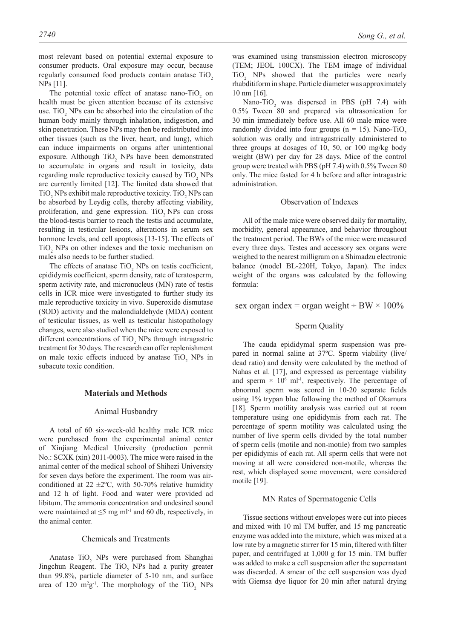most relevant based on potential external exposure to consumer products. Oral exposure may occur, because regularly consumed food products contain anatase TiO<sub>2</sub> NPs [11].

The potential toxic effect of anatase nano-TiO<sub>2</sub> on health must be given attention because of its extensive use. TiO<sub>2</sub> NPs can be absorbed into the circulation of the human body mainly through inhalation, indigestion, and skin penetration. These NPs may then be redistributed into other tissues (such as the liver, heart, and lung), which can induce impairments on organs after unintentional exposure. Although  $TiO<sub>2</sub>$  NPs have been demonstrated to accumulate in organs and result in toxicity, data regarding male reproductive toxicity caused by  $TiO<sub>2</sub>$  NPs are currently limited [12]. The limited data showed that  $TiO<sub>2</sub>$  NPs exhibit male reproductive toxicity. TiO<sub>2</sub> NPs can be absorbed by Leydig cells, thereby affecting viability, proliferation, and gene expression. TiO<sub>2</sub> NPs can cross the blood-testis barrier to reach the testis and accumulate, resulting in testicular lesions, alterations in serum sex hormone levels, and cell apoptosis [13-15]. The effects of  $TiO<sub>2</sub>$  NPs on other indexes and the toxic mechanism on males also needs to be further studied.

The effects of anatase  $TiO<sub>2</sub>$  NPs on testis coefficient, epididymis coefficient, sperm density, rate of teratosperm, sperm activity rate, and micronucleus (MN) rate of testis cells in ICR mice were investigated to further study its male reproductive toxicity in vivo. Superoxide dismutase (SOD) activity and the malondialdehyde (MDA) content of testicular tissues, as well as testicular histopathology changes, were also studied when the mice were exposed to different concentrations of  $TiO<sub>2</sub>$  NPs through intragastric treatment for 30 days. The research can offer replenishment on male toxic effects induced by anatase  $TiO_2$  NPs in subacute toxic condition.

#### **Materials and Methods**

#### Animal Husbandry

A total of 60 six-week-old healthy male ICR mice were purchased from the experimental animal center of Xinjiang Medical University (production permit No.: SCXK (xin) 2011-0003). The mice were raised in the animal center of the medical school of Shihezi University for seven days before the experiment. The room was airconditioned at 22  $\pm 2^{\circ}$ C, with 50-70% relative humidity and 12 h of light. Food and water were provided ad libitum. The ammonia concentration and undesired sound were maintained at  $\leq$ 5 mg ml<sup>-1</sup> and 60 db, respectively, in the animal center.

#### Chemicals and Treatments

Anatase  $TiO<sub>2</sub>$  NPs were purchased from Shanghai Jingchun Reagent. The  $TiO<sub>2</sub>$  NPs had a purity greater than 99.8%, particle diameter of 5-10 nm, and surface area of 120  $m^2g^{-1}$ . The morphology of the TiO<sub>2</sub> NPs was examined using transmission electron microscopy (TEM; JEOL 100CX). The TEM image of individual TiO2 NPs showed that the particles were nearly rhabditiform in shape. Particle diameter was approximately 10 nm [16].

Nano-TiO<sub>2</sub> was dispersed in PBS (pH 7.4) with 0.5% Tween 80 and prepared via ultrasonication for 30 min immediately before use. All 60 male mice were randomly divided into four groups ( $n = 15$ ). Nano-TiO<sub>2</sub> solution was orally and intragastrically administered to three groups at dosages of 10, 50, or 100 mg/kg body weight (BW) per day for 28 days. Mice of the control group were treated with PBS (pH 7.4) with 0.5% Tween 80 only. The mice fasted for 4 h before and after intragastric administration.

#### Observation of Indexes

All of the male mice were observed daily for mortality, morbidity, general appearance, and behavior throughout the treatment period. The BWs of the mice were measured every three days. Testes and accessory sex organs were weighed to the nearest milligram on a Shimadzu electronic balance (model BL-220H, Tokyo, Japan). The index weight of the organs was calculated by the following formula:

#### sex organ index = organ weight  $\div$  BW  $\times$  100%

#### Sperm Quality

The cauda epididymal sperm suspension was prepared in normal saline at 37ºC. Sperm viability (live/ dead ratio) and density were calculated by the method of Nahas et al. [17], and expressed as percentage viability and sperm  $\times$  10<sup>6</sup> ml<sup>-1</sup>, respectively. The percentage of abnormal sperm was scored in 10-20 separate fields using 1% trypan blue following the method of Okamura [18]. Sperm motility analysis was carried out at room temperature using one epididymis from each rat. The percentage of sperm motility was calculated using the number of live sperm cells divided by the total number of sperm cells (motile and non-motile) from two samples per epididymis of each rat. All sperm cells that were not moving at all were considered non-motile, whereas the rest, which displayed some movement, were considered motile [19].

#### MN Rates of Spermatogenic Cells

Tissue sections without envelopes were cut into pieces and mixed with 10 ml TM buffer, and 15 mg pancreatic enzyme was added into the mixture, which was mixed at a low rate by a magnetic stirrer for 15 min, filtered with filter paper, and centrifuged at 1,000 g for 15 min. TM buffer was added to make a cell suspension after the supernatant was discarded. A smear of the cell suspension was dyed with Giemsa dye liquor for 20 min after natural drying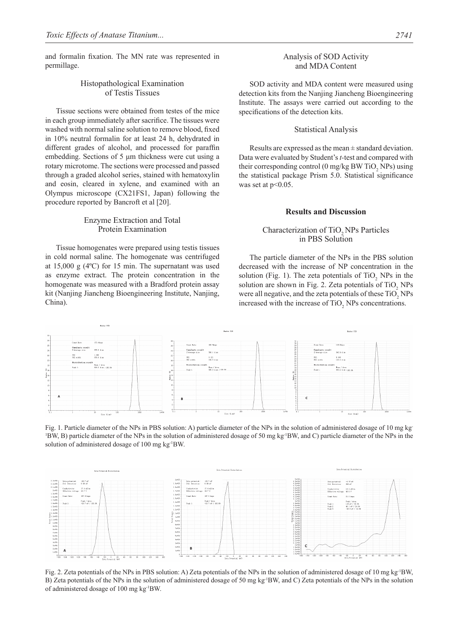and formalin fixation. The MN rate was represented in permillage.

## Histopathological Examination of Testis Tissues

Tissue sections were obtained from testes of the mice in each group immediately after sacrifice. The tissues were washed with normal saline solution to remove blood, fixed in 10% neutral formalin for at least 24 h, dehydrated in different grades of alcohol, and processed for paraffin embedding. Sections of 5 μm thickness were cut using a rotary microtome. The sections were processed and passed through a graded alcohol series, stained with hematoxylin and eosin, cleared in xylene, and examined with an Olympus microscope (CX21FS1, Japan) following the procedure reported by Bancroft et al [20].

## Enzyme Extraction and Total Protein Examination

Tissue homogenates were prepared using testis tissues in cold normal saline. The homogenate was centrifuged at 15,000 g (4ºC) for 15 min. The supernatant was used as enzyme extract. The protein concentration in the homogenate was measured with a Bradford protein assay kit (Nanjing Jiancheng Bioengineering Institute, Nanjing, China).

## Analysis of SOD Activity and MDA Content

SOD activity and MDA content were measured using detection kits from the Nanjing Jiancheng Bioengineering Institute. The assays were carried out according to the specifications of the detection kits.

#### Statistical Analysis

Results are expressed as the mean  $\pm$  standard deviation. Data were evaluated by Student's *t-*test and compared with their corresponding control (0 mg/kg BW TiO<sub>2</sub> NPs) using the statistical package Prism 5.0. Statistical significance was set at  $p<0.05$ .

#### **Results and Discussion**

## Characterization of TiO<sub>2</sub> NPs Particles in PBS solution

The particle diameter of the NPs in the PBS solution decreased with the increase of NP concentration in the solution (Fig. 1). The zeta potentials of  $TiO<sub>2</sub>$  NPs in the solution are shown in Fig. 2. Zeta potentials of  $TiO<sub>2</sub>$  NPs were all negative, and the zeta potentials of these  $TiO<sub>2</sub> NPs$ increased with the increase of  $TiO<sub>2</sub>$  NPs concentrations.







Fig. 2. Zeta potentials of the NPs in PBS solution: A) Zeta potentials of the NPs in the solution of administered dosage of 10 mg kg-1BW, B) Zeta potentials of the NPs in the solution of administered dosage of 50 mg kg-1BW, and C) Zeta potentials of the NPs in the solution of administered dosage of 100 mg kg-1BW.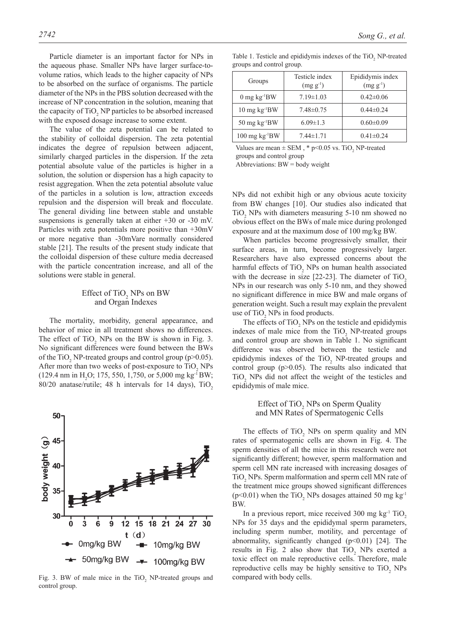Particle diameter is an important factor for NPs in the aqueous phase. Smaller NPs have larger surface-tovolume ratios, which leads to the higher capacity of NPs to be absorbed on the surface of organisms. The particle diameter of the NPs in the PBS solution decreased with the increase of NP concentration in the solution, meaning that the capacity of  $TiO<sub>2</sub> NP$  particles to be absorbed increased with the exposed dosage increase to some extent.

The value of the zeta potential can be related to the stability of colloidal dispersion. The zeta potential indicates the degree of repulsion between adjacent, similarly charged particles in the dispersion. If the zeta potential absolute value of the particles is higher in a solution, the solution or dispersion has a high capacity to resist aggregation. When the zeta potential absolute value of the particles in a solution is low, attraction exceeds repulsion and the dispersion will break and flocculate. The general dividing line between stable and unstable suspensions is generally taken at either  $+30$  or  $-30$  mV. Particles with zeta potentials more positive than +30mV or more negative than -30mVare normally considered stable [21]. The results of the present study indicate that the colloidal dispersion of these culture media decreased with the particle concentration increase, and all of the solutions were stable in general.

## Effect of  $TiO<sub>2</sub>$  NPs on BW and Organ Indexes

The mortality, morbidity, general appearance, and behavior of mice in all treatment shows no differences. The effect of  $TiO<sub>2</sub>$  NPs on the BW is shown in Fig. 3. No significant differences were found between the BWs of the TiO<sub>2</sub> NP-treated groups and control group ( $p > 0.05$ ). After more than two weeks of post-exposure to  $TiO<sub>2</sub>$  NPs  $(129.4 \text{ nm in H}_2O; 175, 550, 1,750, \text{ or } 5,000 \text{ mg kg} \cdot \text{BW};$ 80/20 anatase/rutile; 48 h intervals for 14 days), TiO<sub>2</sub>



Fig. 3. BW of male mice in the  $TiO<sub>2</sub>$  NP-treated groups and compared with body cells. control group.

| Groups                             | Testicle index<br>$(mg g^{-1})$ | Epididymis index<br>$(mg g^{-1})$ |
|------------------------------------|---------------------------------|-----------------------------------|
| $0 \text{ mg kg}^{-1}BW$           | $7.19 \pm 1.03$                 | $0.42 \pm 0.06$                   |
| $10 \text{ mg} \text{ kg}^{-1}$ BW | $7.48 \pm 0.75$                 | $0.44\pm 0.24$                    |
| $50 \text{ mg} \text{ kg}^{-1}$ BW | $6.09 \pm 1.3$                  | $0.60 \pm 0.09$                   |
| 100 mg kg <sup>-1</sup> BW         | $7.44 \pm 1.71$                 | $0.41 \pm 0.24$                   |

Table 1. Testicle and epididymis indexes of the  $TiO<sub>2</sub>$  NP-treated

Values are mean  $\pm$  SEM,  $*$  p<0.05 vs. TiO<sub>2</sub> NP-treated

groups and control group

groups and control group.

Abbreviations: BW = body weight

NPs did not exhibit high or any obvious acute toxicity from BW changes [10]. Our studies also indicated that  $TiO<sub>2</sub>$  NPs with diameters measuring 5-10 nm showed no obvious effect on the BWs of male mice during prolonged exposure and at the maximum dose of 100 mg/kg BW.

When particles become progressively smaller, their surface areas, in turn, become progressively larger. Researchers have also expressed concerns about the harmful effects of  $TiO<sub>2</sub>$  NPs on human health associated with the decrease in size  $[22-23]$ . The diameter of TiO<sub>2</sub> NPs in our research was only 5-10 nm, and they showed no significant difference in mice BW and male organs of generation weight. Such a result may explain the prevalent use of  $TiO<sub>2</sub>$  NPs in food products.

The effects of  $TiO<sub>2</sub>$  NPs on the testicle and epididymis indexes of male mice from the  $TiO<sub>2</sub>$  NP-treated groups and control group are shown in Table 1. No significant difference was observed between the testicle and epididymis indexes of the  $TiO<sub>2</sub>$  NP-treated groups and control group  $(p>0.05)$ . The results also indicated that  $TiO<sub>2</sub>$  NPs did not affect the weight of the testicles and epididymis of male mice.

> Effect of TiO<sub>2</sub> NPs on Sperm Quality and MN Rates of Spermatogenic Cells

The effects of  $TiO<sub>2</sub>$  NPs on sperm quality and MN rates of spermatogenic cells are shown in Fig. 4. The sperm densities of all the mice in this research were not significantly different; however, sperm malformation and sperm cell MN rate increased with increasing dosages of TiO<sub>2</sub> NPs. Sperm malformation and sperm cell MN rate of the treatment mice groups showed significant differences  $(p<0.01)$  when the TiO<sub>2</sub> NPs dosages attained 50 mg kg<sup>-1</sup> BW.

In a previous report, mice received 300 mg  $kg<sup>-1</sup> TiO<sub>2</sub>$ NPs for 35 days and the epididymal sperm parameters, including sperm number, motility, and percentage of abnormality, significantly changed  $(p<0.01)$  [24]. The results in Fig. 2 also show that  $TiO<sub>2</sub>$  NPs exerted a toxic effect on male reproductive cells. Therefore, male reproductive cells may be highly sensitive to  $TiO<sub>2</sub>$  NPs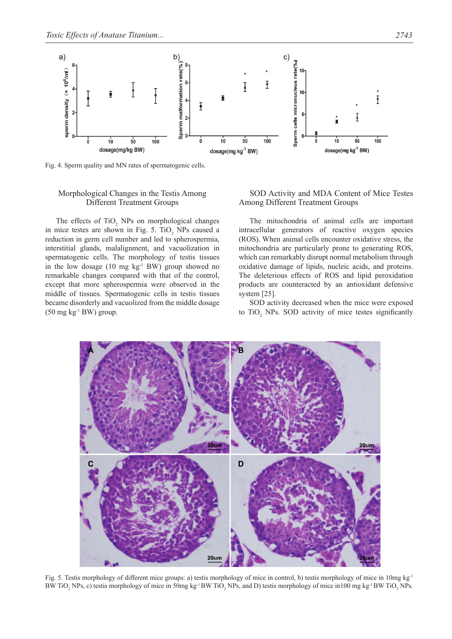

Fig. 4. Sperm quality and MN rates of spermatogenic cells.

## Morphological Changes in the Testis Among Different Treatment Groups

The effects of  $TiO<sub>2</sub>$  NPs on morphological changes in mice testes are shown in Fig. 5. TiO<sub>2</sub> NPs caused a reduction in germ cell number and led to spherospermia, interstitial glands, malalignment, and vacuolization in spermatogenic cells. The morphology of testis tissues in the low dosage  $(10 \text{ mg kg}^{-1} \text{BW})$  group showed no remarkable changes compared with that of the control, except that more spherospermia were observed in the middle of tissues. Spermatogenic cells in testis tissues became disorderly and vacuolized from the middle dosage  $(50 \text{ mg kg}^{-1} \text{BW})$  group.

## SOD Activity and MDA Content of Mice Testes Among Different Treatment Groups

The mitochondria of animal cells are important intracellular generators of reactive oxygen species (ROS). When animal cells encounter oxidative stress, the mitochondria are particularly prone to generating ROS, which can remarkably disrupt normal metabolism through oxidative damage of lipids, nucleic acids, and proteins. The deleterious effects of ROS and lipid peroxidation products are counteracted by an antioxidant defensive system [25].

SOD activity decreased when the mice were exposed to  $TiO<sub>2</sub>$  NPs. SOD activity of mice testes significantly



Fig. 5. Testis morphology of different mice groups: a) testis morphology of mice in control, b) testis morphology of mice in 10mg kg-1 BW TiO<sub>2</sub> NPs, c) testis morphology of mice in 50mg kg<sup>-1</sup> BW TiO<sub>2</sub> NPs, and D) testis morphology of mice in100 mg kg<sup>-1</sup> BW TiO<sub>2</sub> NPs.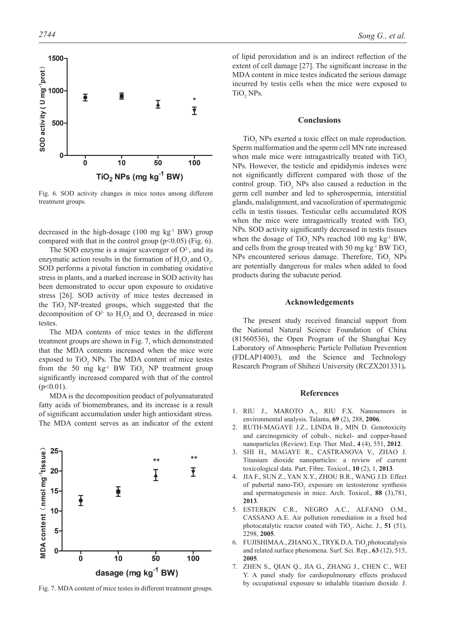

Fig. 6. SOD activity changes in mice testes among different treatment groups.

decreased in the high-dosage  $(100 \text{ mg} \text{ kg}^{-1} \text{BW})$  group compared with that in the control group ( $p<0.05$ ) (Fig. 6).

The SOD enzyme is a major scavenger of  $O<sup>2</sup>$ , and its enzymatic action results in the formation of  $H_2O_2$  and  $O_2$ . SOD performs a pivotal function in combating oxidative stress in plants, and a marked increase in SOD activity has been demonstrated to occur upon exposure to oxidative stress [26]. SOD activity of mice testes decreased in the TiO<sub>2</sub> NP-treated groups, which suggested that the decomposition of  $O^2$  to  $H_2O_2$  and  $O_2$  decreased in mice testes.

The MDA contents of mice testes in the different treatment groups are shown in Fig. 7, which demonstrated that the MDA contents increased when the mice were exposed to  $TiO<sub>2</sub>$  NPs. The MDA content of mice testes from the 50 mg  $kg<sup>-1</sup> BW TiO<sub>2</sub> NP treatment group$ significantly increased compared with that of the control  $(p<0.01)$ .

MDA is the decomposition product of polyunsaturated fatty acids of biomembranes, and its increase is a result of significant accumulation under high antioxidant stress. The MDA content serves as an indicator of the extent



Fig. 7. MDA content of mice testes in different treatment groups.

of lipid peroxidation and is an indirect reflection of the extent of cell damage [27]. The significant increase in the MDA content in mice testes indicated the serious damage incurred by testis cells when the mice were exposed to  $TiO<sub>2</sub>$  NPs.

#### **Conclusions**

 $TiO<sub>2</sub>$  NPs exerted a toxic effect on male reproduction. Sperm malformation and the sperm cell MN rate increased when male mice were intragastrically treated with TiO<sub>2</sub> NPs. However, the testicle and epididymis indexes were not significantly different compared with those of the control group. TiO<sub>2</sub> NPs also caused a reduction in the germ cell number and led to spherospermia, interstitial glands, malalignment, and vacuolization of spermatogenic cells in testis tissues. Testicular cells accumulated ROS when the mice were intragastrically treated with TiO<sub>2</sub> NPs. SOD activity significantly decreased in testis tissues when the dosage of  $TiO_2$  NPs reached 100 mg kg<sup>-1</sup> BW, and cells from the group treated with 50 mg  $kg<sup>-1</sup> BW TiO<sub>2</sub>$ NPs encountered serious damage. Therefore,  $TiO<sub>2</sub>$  NPs are potentially dangerous for males when added to food products during the subacute period.

## **Acknowledgements**

The present study received financial support from the National Natural Science Foundation of China (81560536), the Open Program of the Shanghai Key Laboratory of Atmospheric Particle Pollution Prevention (FDLAP14003), and the Science and Technology Research Program of Shihezi University (RCZX201331)**.**

#### **References**

- 1. RIU J., MAROTO A., RIU F.X. Nanosensors in environmental analysis. Talanta, **69** (2), 288, **2006**.
- 2. RUTH-MAGAYE J.Z., LINDA B., MIN D. Genotoxicity and carcinogenicity of cobalt-, nickel- and copper-based nanoparticles (Review). Exp. Ther. Med., **4** (4), 551, **2012**.
- 3. SHI H., MAGAYE R., CASTRANOVA V., ZHAO J. Titanium dioxide nanoparticles: a review of current toxicological data. Part. Fibre. Toxicol., **10** (2), 1, **2013**.
- 4. JIA F., SUN Z., YAN X.Y., ZHOU B.R., WANG J.D. Effect of pubertal nano-TiO<sub>2</sub> exposure on testosterone synthesis and spermatogenesis in mice. Arch. Toxicol., **88** (3),781, **2013**.
- 5. ESTERKIN C.R., NEGRO A.C., ALFANO O.M., CASSANO A.E. Air pollution remediation in a fixed bed photocatalytic reactor coated with  $TiO<sub>2</sub>$ . Aiche. J., **51** (51), 2298, **2005**.
- 6. FUJISHIMAA., ZHANG X., TRYK D.A. TiO, photocatalysis and related surface phenomena. Surf. Sci. Rep., **63** (12), 515, **2005**.
- 7. ZHEN S., QIAN Q., JIA G., ZHANG J., CHEN C., WEI Y. A panel study for cardiopulmonary effects produced by occupational exposure to inhalable titanium dioxide. J.